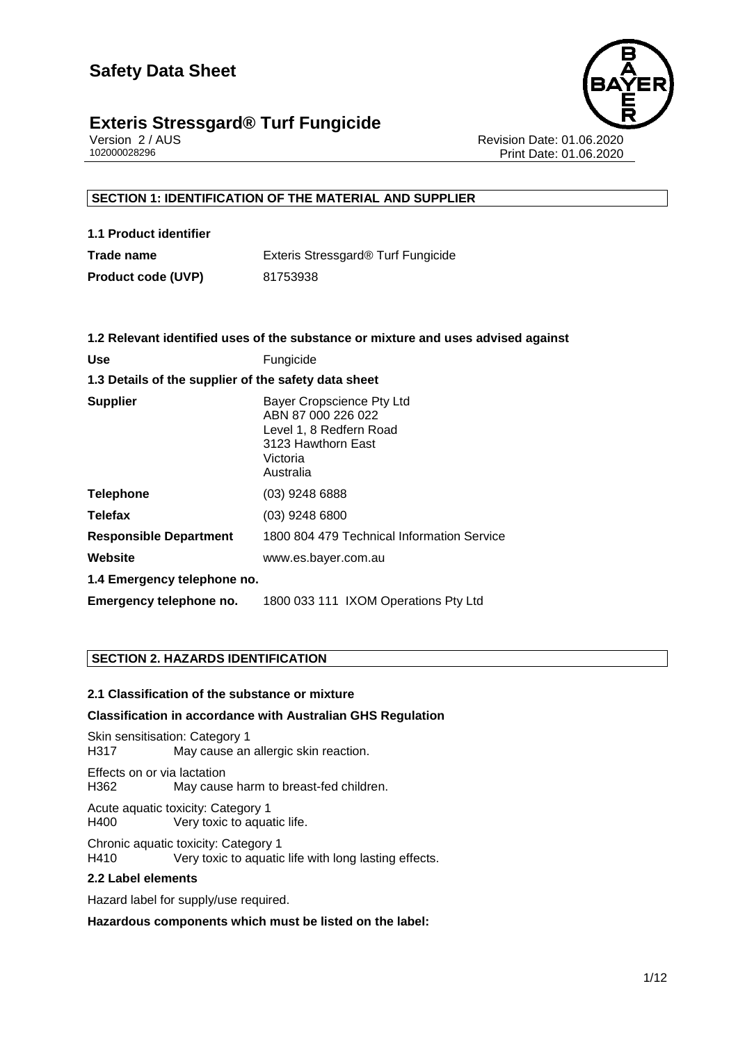

Version 2 / AUS Revision Date: 01.06.2020 Print Date: 01.06.2020

#### **SECTION 1: IDENTIFICATION OF THE MATERIAL AND SUPPLIER**

| 1.1 Product identifier    |                                    |
|---------------------------|------------------------------------|
| Trade name                | Exteris Stressgard® Turf Fungicide |
| <b>Product code (UVP)</b> | 81753938                           |

|                                                      | 1.2 Relevant identified uses of the substance or mixture and uses advised against                                         |  |  |  |  |
|------------------------------------------------------|---------------------------------------------------------------------------------------------------------------------------|--|--|--|--|
| <b>Use</b>                                           | Fungicide                                                                                                                 |  |  |  |  |
| 1.3 Details of the supplier of the safety data sheet |                                                                                                                           |  |  |  |  |
| <b>Supplier</b>                                      | Bayer Cropscience Pty Ltd<br>ABN 87 000 226 022<br>Level 1, 8 Redfern Road<br>3123 Hawthorn East<br>Victoria<br>Australia |  |  |  |  |
| <b>Telephone</b>                                     | $(03)$ 9248 6888                                                                                                          |  |  |  |  |
| <b>Telefax</b>                                       | $(03)$ 9248 6800                                                                                                          |  |  |  |  |
| <b>Responsible Department</b>                        | 1800 804 479 Technical Information Service                                                                                |  |  |  |  |
| <b>Website</b>                                       | www.es.bayer.com.au                                                                                                       |  |  |  |  |
| 1.4 Emergency telephone no.                          |                                                                                                                           |  |  |  |  |
| Emergency telephone no.                              | 1800 033 111 IXOM Operations Pty Ltd                                                                                      |  |  |  |  |

#### **SECTION 2. HAZARDS IDENTIFICATION**

#### **2.1 Classification of the substance or mixture**

#### **Classification in accordance with Australian GHS Regulation**

Skin sensitisation: Category 1 H317 May cause an allergic skin reaction.

Effects on or via lactation H362 May cause harm to breast-fed children.

Acute aquatic toxicity: Category 1 Very toxic to aquatic life.

Chronic aquatic toxicity: Category 1 H410 Very toxic to aquatic life with long lasting effects.

#### **2.2 Label elements**

Hazard label for supply/use required.

**Hazardous components which must be listed on the label:**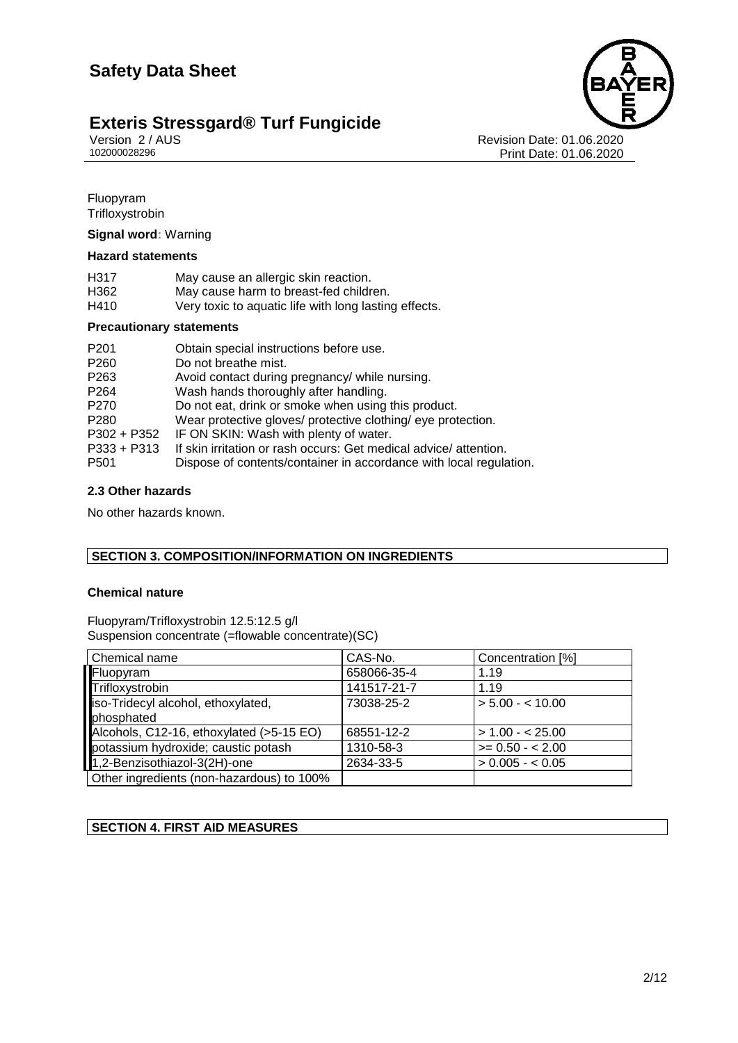## **Exteris Stressgard® Turf Fungicide** Version 2/AUS

Version 2 / AUS Revision Date: 01.06.2020 Print Date: 01.06.2020

**Fluopyram Trifloxystrobin** 

**Signal word:** Warning

#### **Hazard statements**

| H317 | May cause an allergic skin reaction.                  |
|------|-------------------------------------------------------|
| H362 | May cause harm to breast-fed children.                |
| H410 | Very toxic to aquatic life with long lasting effects. |

#### **Precautionary statements**

| P <sub>201</sub> | Obtain special instructions before use.                            |
|------------------|--------------------------------------------------------------------|
| P <sub>260</sub> | Do not breathe mist.                                               |
| P <sub>263</sub> | Avoid contact during pregnancy/ while nursing.                     |
| P <sub>264</sub> | Wash hands thoroughly after handling.                              |
| P <sub>270</sub> | Do not eat, drink or smoke when using this product.                |
| P <sub>280</sub> | Wear protective gloves/ protective clothing/ eye protection.       |
| P302 + P352      | IF ON SKIN: Wash with plenty of water.                             |
| $P333 + P313$    | If skin irritation or rash occurs: Get medical advice/attention.   |
| P <sub>501</sub> | Dispose of contents/container in accordance with local regulation. |

#### **2.3 Other hazards**

No other hazards known.

#### **SECTION 3. COMPOSITION/INFORMATION ON INGREDIENTS**

#### **Chemical nature**

Fluopyram/Trifloxystrobin 12.5:12.5 g/l Suspension concentrate (=flowable concentrate)(SC)

| Chemical name                             | CAS-No.     | Concentration [%] |
|-------------------------------------------|-------------|-------------------|
| Fluopyram                                 | 658066-35-4 | 1.19              |
| Trifloxystrobin                           | 141517-21-7 | 1.19              |
| iso-Tridecyl alcohol, ethoxylated,        | 73038-25-2  | $> 5.00 - 10.00$  |
| phosphated                                |             |                   |
| Alcohols, C12-16, ethoxylated (>5-15 EO)  | 68551-12-2  | $> 1.00 - 25.00$  |
| potassium hydroxide; caustic potash       | 1310-58-3   | $>= 0.50 - 2.00$  |
| 1,2-Benzisothiazol-3(2H)-one              | 2634-33-5   | $> 0.005 - 0.05$  |
| Other ingredients (non-hazardous) to 100% |             |                   |

#### **SECTION 4. FIRST AID MEASURES**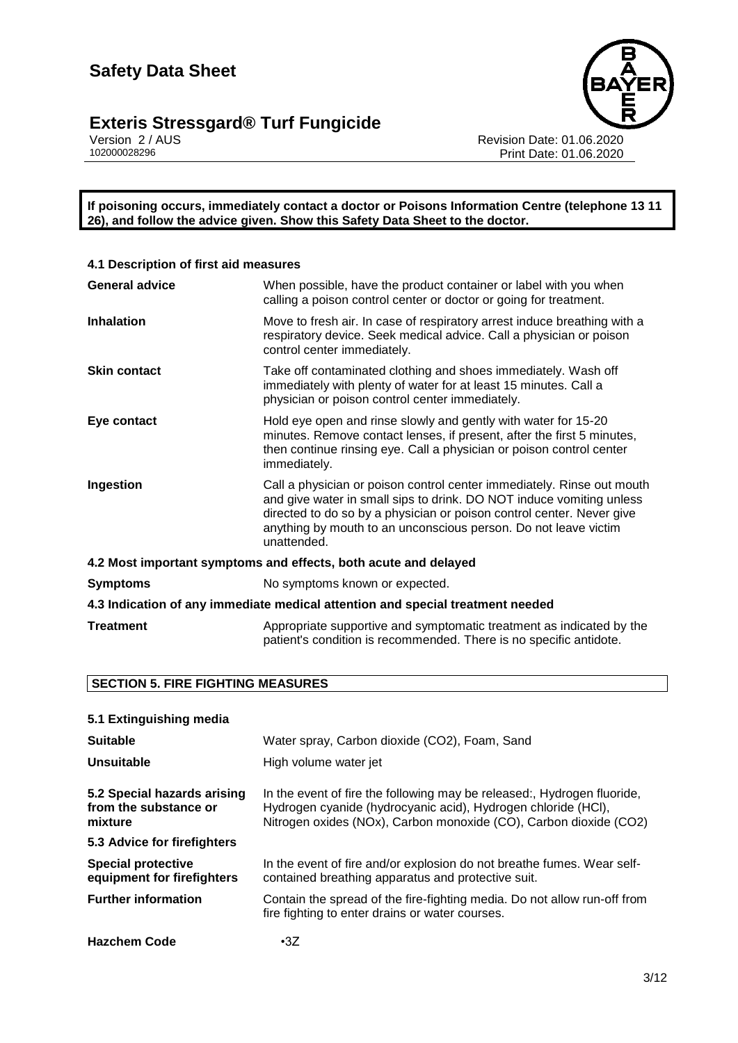

Version 2 / AUS Revision Date: 01.06.2020 102000028296 Print Date: 01.06.2020

**If poisoning occurs, immediately contact a doctor or Poisons Information Centre (telephone 13 11 26), and follow the advice given. Show this Safety Data Sheet to the doctor.**

| 4.1 Description of first aid measures                                          |                                                                                                                                                                                                                                                                                                           |  |  |  |
|--------------------------------------------------------------------------------|-----------------------------------------------------------------------------------------------------------------------------------------------------------------------------------------------------------------------------------------------------------------------------------------------------------|--|--|--|
| <b>General advice</b>                                                          | When possible, have the product container or label with you when<br>calling a poison control center or doctor or going for treatment.                                                                                                                                                                     |  |  |  |
| <b>Inhalation</b>                                                              | Move to fresh air. In case of respiratory arrest induce breathing with a<br>respiratory device. Seek medical advice. Call a physician or poison<br>control center immediately.                                                                                                                            |  |  |  |
| <b>Skin contact</b>                                                            | Take off contaminated clothing and shoes immediately. Wash off<br>immediately with plenty of water for at least 15 minutes. Call a<br>physician or poison control center immediately.                                                                                                                     |  |  |  |
| Eye contact                                                                    | Hold eye open and rinse slowly and gently with water for 15-20<br>minutes. Remove contact lenses, if present, after the first 5 minutes,<br>then continue rinsing eye. Call a physician or poison control center<br>immediately.                                                                          |  |  |  |
| Ingestion                                                                      | Call a physician or poison control center immediately. Rinse out mouth<br>and give water in small sips to drink. DO NOT induce vomiting unless<br>directed to do so by a physician or poison control center. Never give<br>anything by mouth to an unconscious person. Do not leave victim<br>unattended. |  |  |  |
| 4.2 Most important symptoms and effects, both acute and delayed                |                                                                                                                                                                                                                                                                                                           |  |  |  |
| <b>Symptoms</b>                                                                | No symptoms known or expected.                                                                                                                                                                                                                                                                            |  |  |  |
| 4.3 Indication of any immediate medical attention and special treatment needed |                                                                                                                                                                                                                                                                                                           |  |  |  |
| <b>Treatment</b>                                                               | Appropriate supportive and symptomatic treatment as indicated by the<br>patient's condition is recommended. There is no specific antidote.                                                                                                                                                                |  |  |  |

#### **SECTION 5. FIRE FIGHTING MEASURES**

| 5.1 Extinguishing media                                         |                                                                                                                                                                                                               |  |  |  |  |
|-----------------------------------------------------------------|---------------------------------------------------------------------------------------------------------------------------------------------------------------------------------------------------------------|--|--|--|--|
| <b>Suitable</b>                                                 | Water spray, Carbon dioxide (CO2), Foam, Sand                                                                                                                                                                 |  |  |  |  |
| Unsuitable                                                      | High volume water jet                                                                                                                                                                                         |  |  |  |  |
| 5.2 Special hazards arising<br>from the substance or<br>mixture | In the event of fire the following may be released:, Hydrogen fluoride,<br>Hydrogen cyanide (hydrocyanic acid), Hydrogen chloride (HCI),<br>Nitrogen oxides (NOx), Carbon monoxide (CO), Carbon dioxide (CO2) |  |  |  |  |
| 5.3 Advice for firefighters                                     |                                                                                                                                                                                                               |  |  |  |  |
| <b>Special protective</b><br>equipment for firefighters         | In the event of fire and/or explosion do not breathe fumes. Wear self-<br>contained breathing apparatus and protective suit.                                                                                  |  |  |  |  |
| <b>Further information</b>                                      | Contain the spread of the fire-fighting media. Do not allow run-off from<br>fire fighting to enter drains or water courses.                                                                                   |  |  |  |  |
| <b>Hazchem Code</b>                                             | $\cdot$ 3Z                                                                                                                                                                                                    |  |  |  |  |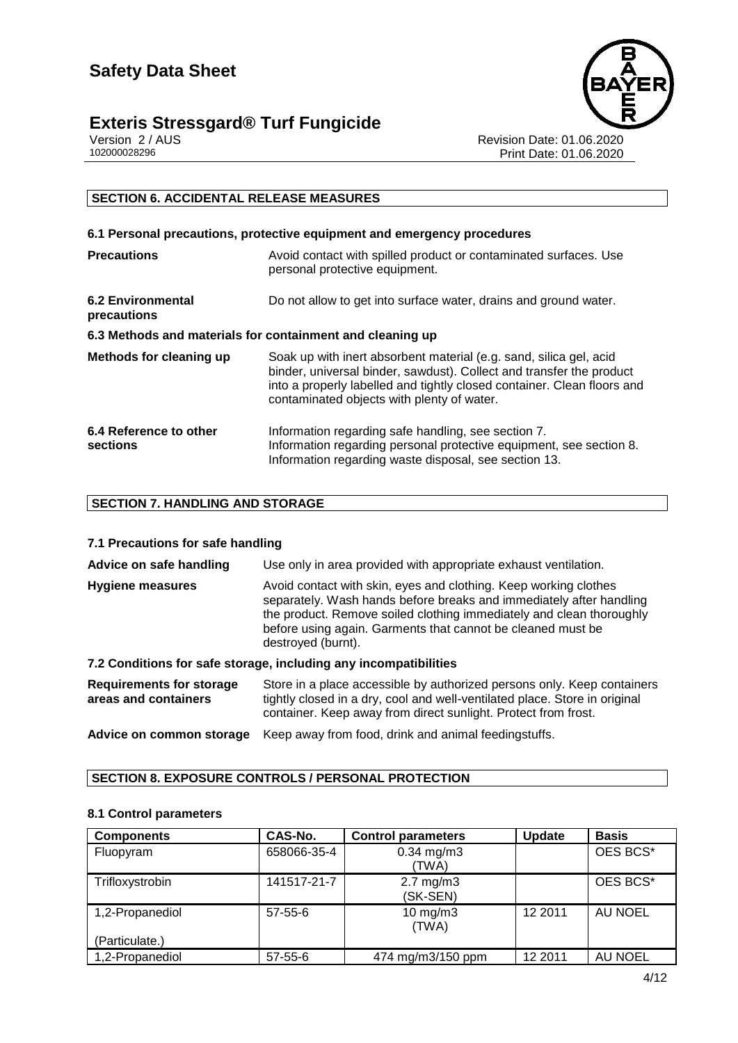## **Exteris Stressgard® Turf Fungicide** Version 2/AUS



Version 2 / AUS **Revision Date: 01.06.2020**<br>102000028296 Print Date: 01.06.2020 Print Date: 01.06.2020

### **SECTION 6. ACCIDENTAL RELEASE MEASURES**

| 6.1 Personal precautions, protective equipment and emergency procedures |                                                                                                                                                                                                                                                                     |  |  |  |  |
|-------------------------------------------------------------------------|---------------------------------------------------------------------------------------------------------------------------------------------------------------------------------------------------------------------------------------------------------------------|--|--|--|--|
| <b>Precautions</b>                                                      | Avoid contact with spilled product or contaminated surfaces. Use<br>personal protective equipment.                                                                                                                                                                  |  |  |  |  |
| <b>6.2 Environmental</b><br>precautions                                 | Do not allow to get into surface water, drains and ground water.                                                                                                                                                                                                    |  |  |  |  |
| 6.3 Methods and materials for containment and cleaning up               |                                                                                                                                                                                                                                                                     |  |  |  |  |
| Methods for cleaning up                                                 | Soak up with inert absorbent material (e.g. sand, silica gel, acid<br>binder, universal binder, sawdust). Collect and transfer the product<br>into a properly labelled and tightly closed container. Clean floors and<br>contaminated objects with plenty of water. |  |  |  |  |
| 6.4 Reference to other<br>sections                                      | Information regarding safe handling, see section 7.<br>Information regarding personal protective equipment, see section 8.<br>Information regarding waste disposal, see section 13.                                                                                 |  |  |  |  |

#### **SECTION 7. HANDLING AND STORAGE**

#### **7.1 Precautions for safe handling**

| Advice on safe handling | Use only in area provided with appropriate exhaust ventilation.                                                                                                                                                                                                                                      |  |  |  |
|-------------------------|------------------------------------------------------------------------------------------------------------------------------------------------------------------------------------------------------------------------------------------------------------------------------------------------------|--|--|--|
| <b>Hygiene measures</b> | Avoid contact with skin, eyes and clothing. Keep working clothes<br>separately. Wash hands before breaks and immediately after handling<br>the product. Remove soiled clothing immediately and clean thoroughly<br>before using again. Garments that cannot be cleaned must be<br>destroyed (burnt). |  |  |  |

#### **7.2 Conditions for safe storage, including any incompatibilities**

| Requirements for storage<br>areas and containers | Store in a place accessible by authorized persons only. Keep containers<br>tightly closed in a dry, cool and well-ventilated place. Store in original<br>container. Keep away from direct sunlight. Protect from frost. |
|--------------------------------------------------|-------------------------------------------------------------------------------------------------------------------------------------------------------------------------------------------------------------------------|
| Advice on common storage                         | Keep away from food, drink and animal feedingstuffs.                                                                                                                                                                    |

#### **SECTION 8. EXPOSURE CONTROLS / PERSONAL PROTECTION**

#### **8.1 Control parameters**

| <b>Components</b> | CAS-No.       | <b>Control parameters</b>        | <b>Update</b> | <b>Basis</b> |
|-------------------|---------------|----------------------------------|---------------|--------------|
| Fluopyram         | 658066-35-4   | $0.34$ mg/m $3$<br>(TWA)         |               | OES BCS*     |
| Trifloxystrobin   | 141517-21-7   | $2.7 \text{ mg/m}$ 3<br>(SK-SEN) |               | OES BCS*     |
| 1,2-Propanediol   | $57 - 55 - 6$ | $10$ mg/m $3$<br>(TWA)           | 12 2011       | AU NOEL      |
| (Particulate.)    |               |                                  |               |              |
| 1,2-Propanediol   | $57 - 55 - 6$ | 474 mg/m3/150 ppm                | 12 2011       | AU NOEL      |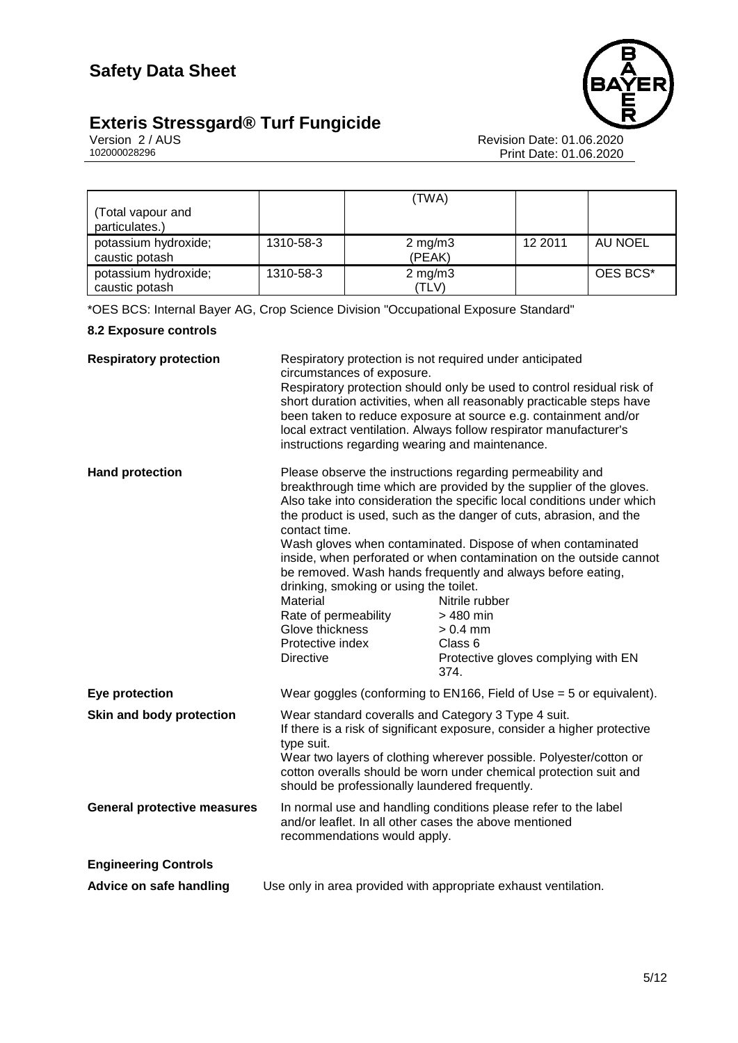



Version 2 / AUS Revision Date: 01.06.2020 102000028296 Print Date: 01.06.2020

| (Total vapour and<br>particulates.)    |           | (TWA)                  |         |          |
|----------------------------------------|-----------|------------------------|---------|----------|
| potassium hydroxide;<br>caustic potash | 1310-58-3 | $2$ mg/m $3$<br>(PEAK) | 12 2011 | AU NOEL  |
| potassium hydroxide;<br>caustic potash | 1310-58-3 | $2$ mg/m $3$<br>(TLV)  |         | OES BCS* |

\*OES BCS: Internal Bayer AG, Crop Science Division "Occupational Exposure Standard"

#### **8.2 Exposure controls**

| <b>Respiratory protection</b>      | Respiratory protection is not required under anticipated<br>circumstances of exposure.<br>instructions regarding wearing and maintenance.                                                                                                                                                                                                  | Respiratory protection should only be used to control residual risk of<br>short duration activities, when all reasonably practicable steps have<br>been taken to reduce exposure at source e.g. containment and/or<br>local extract ventilation. Always follow respirator manufacturer's                                                                                                                                                                                                                                                                                                       |
|------------------------------------|--------------------------------------------------------------------------------------------------------------------------------------------------------------------------------------------------------------------------------------------------------------------------------------------------------------------------------------------|------------------------------------------------------------------------------------------------------------------------------------------------------------------------------------------------------------------------------------------------------------------------------------------------------------------------------------------------------------------------------------------------------------------------------------------------------------------------------------------------------------------------------------------------------------------------------------------------|
| <b>Hand protection</b>             | contact time.<br>drinking, smoking or using the toilet.<br>Material<br>Rate of permeability<br>Glove thickness<br>Protective index<br><b>Directive</b>                                                                                                                                                                                     | Please observe the instructions regarding permeability and<br>breakthrough time which are provided by the supplier of the gloves.<br>Also take into consideration the specific local conditions under which<br>the product is used, such as the danger of cuts, abrasion, and the<br>Wash gloves when contaminated. Dispose of when contaminated<br>inside, when perforated or when contamination on the outside cannot<br>be removed. Wash hands frequently and always before eating,<br>Nitrile rubber<br>$>480$ min<br>$> 0.4$ mm<br>Class 6<br>Protective gloves complying with EN<br>374. |
| Eye protection                     |                                                                                                                                                                                                                                                                                                                                            | Wear goggles (conforming to EN166, Field of Use $=$ 5 or equivalent).                                                                                                                                                                                                                                                                                                                                                                                                                                                                                                                          |
| Skin and body protection           | Wear standard coveralls and Category 3 Type 4 suit.<br>If there is a risk of significant exposure, consider a higher protective<br>type suit.<br>Wear two layers of clothing wherever possible. Polyester/cotton or<br>cotton overalls should be worn under chemical protection suit and<br>should be professionally laundered frequently. |                                                                                                                                                                                                                                                                                                                                                                                                                                                                                                                                                                                                |
| <b>General protective measures</b> | and/or leaflet. In all other cases the above mentioned<br>recommendations would apply.                                                                                                                                                                                                                                                     | In normal use and handling conditions please refer to the label                                                                                                                                                                                                                                                                                                                                                                                                                                                                                                                                |
| <b>Engineering Controls</b>        |                                                                                                                                                                                                                                                                                                                                            |                                                                                                                                                                                                                                                                                                                                                                                                                                                                                                                                                                                                |
| Advice on safe handling            |                                                                                                                                                                                                                                                                                                                                            | Use only in area provided with appropriate exhaust ventilation.                                                                                                                                                                                                                                                                                                                                                                                                                                                                                                                                |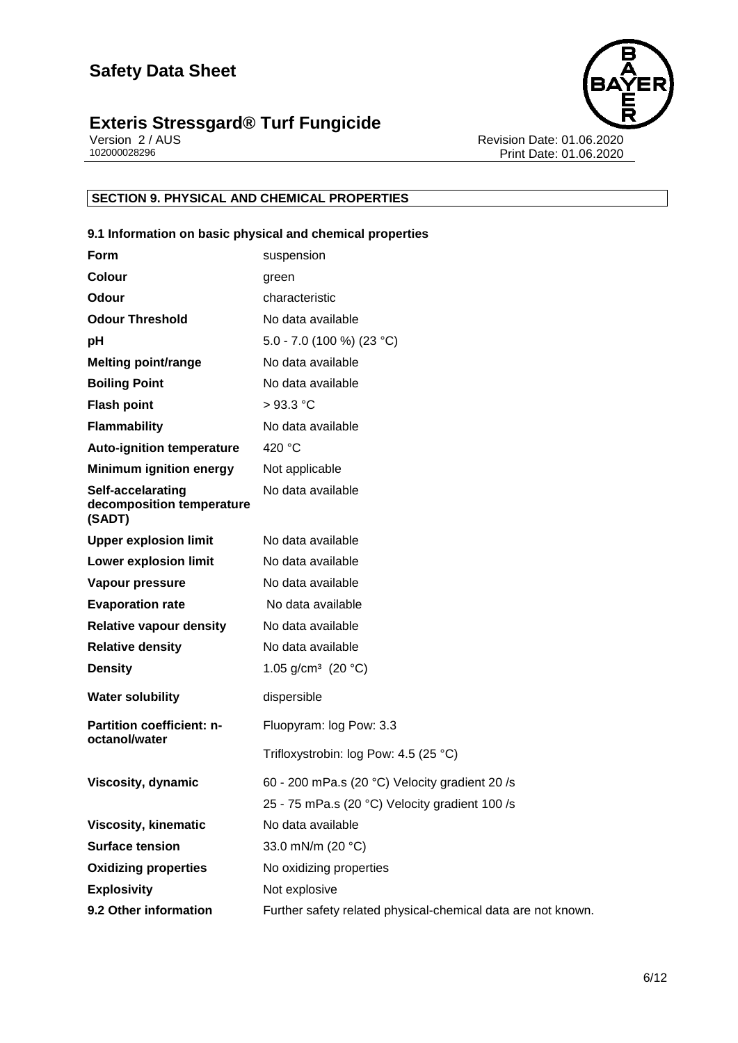

Version 2 / AUS Revision Date: 01.06.2020 102000028296 Print Date: 01.06.2020

#### **SECTION 9. PHYSICAL AND CHEMICAL PROPERTIES**

#### **9.1 Information on basic physical and chemical properties**

| <b>Form</b>                                              |                                       | suspension                                                   |
|----------------------------------------------------------|---------------------------------------|--------------------------------------------------------------|
| <b>Colour</b>                                            |                                       | green                                                        |
| Odour                                                    |                                       | characteristic                                               |
| <b>Odour Threshold</b>                                   |                                       | No data available                                            |
| рH                                                       |                                       | 5.0 - 7.0 (100 %) (23 °C)                                    |
| <b>Melting point/range</b>                               |                                       | No data available                                            |
| <b>Boiling Point</b>                                     |                                       | No data available                                            |
| <b>Flash point</b>                                       |                                       | $>93.3$ °C                                                   |
| <b>Flammability</b>                                      |                                       | No data available                                            |
| <b>Auto-ignition temperature</b>                         |                                       | 420 °C                                                       |
| <b>Minimum ignition energy</b>                           |                                       | Not applicable                                               |
| Self-accelarating<br>decomposition temperature<br>(SADT) |                                       | No data available                                            |
| <b>Upper explosion limit</b>                             |                                       | No data available                                            |
| <b>Lower explosion limit</b>                             |                                       | No data available                                            |
| Vapour pressure                                          |                                       | No data available                                            |
| <b>Evaporation rate</b>                                  |                                       | No data available                                            |
| <b>Relative vapour density</b>                           |                                       | No data available                                            |
| <b>Relative density</b>                                  |                                       | No data available                                            |
| <b>Density</b>                                           |                                       | 1.05 g/cm <sup>3</sup> (20 °C)                               |
| <b>Water solubility</b>                                  |                                       | dispersible                                                  |
| Partition coefficient: n-<br>octanol/water               |                                       | Fluopyram: log Pow: 3.3                                      |
|                                                          | Trifloxystrobin: log Pow: 4.5 (25 °C) |                                                              |
| Viscosity, dynamic                                       |                                       | 60 - 200 mPa.s (20 °C) Velocity gradient 20 /s               |
|                                                          |                                       | 25 - 75 mPa.s (20 °C) Velocity gradient 100 /s               |
| <b>Viscosity, kinematic</b>                              |                                       | No data available                                            |
| <b>Surface tension</b>                                   |                                       | 33.0 mN/m (20 °C)                                            |
| <b>Oxidizing properties</b>                              |                                       | No oxidizing properties                                      |
| <b>Explosivity</b>                                       |                                       | Not explosive                                                |
| 9.2 Other information                                    |                                       | Further safety related physical-chemical data are not known. |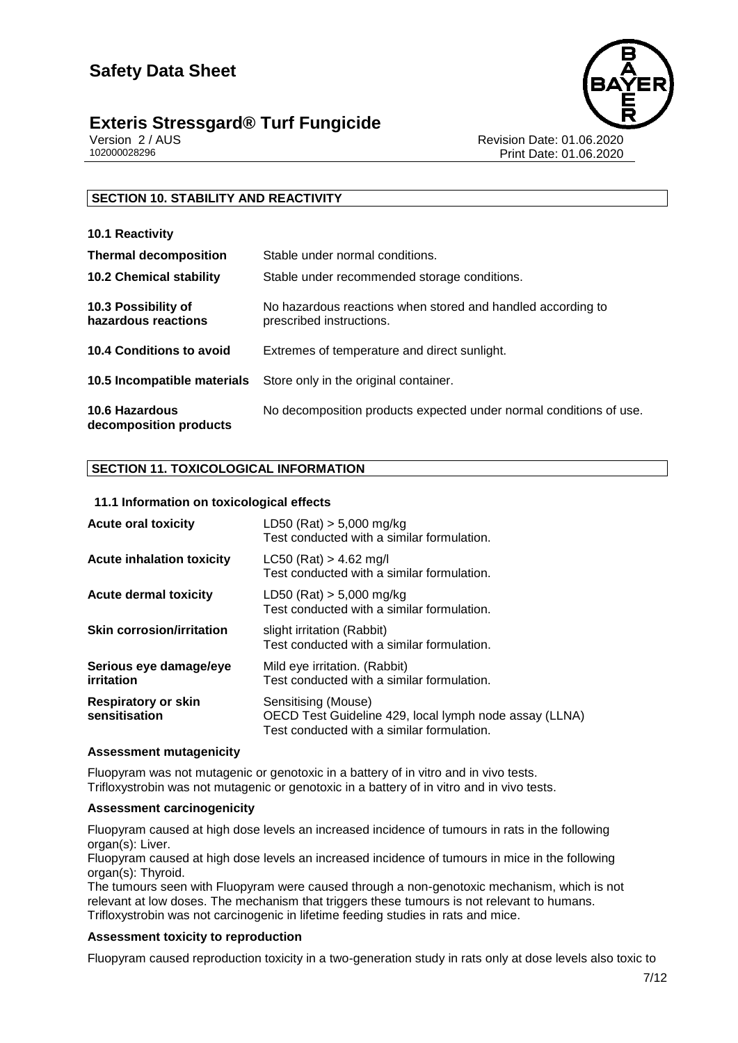



Version 2 / AUS Revision Date: 01.06.2020 Print Date: 01.06.2020

#### **SECTION 10. STABILITY AND REACTIVITY**

| 10.1 Reactivity                                 |                                                                                         |
|-------------------------------------------------|-----------------------------------------------------------------------------------------|
| <b>Thermal decomposition</b>                    | Stable under normal conditions.                                                         |
| <b>10.2 Chemical stability</b>                  | Stable under recommended storage conditions.                                            |
| 10.3 Possibility of<br>hazardous reactions      | No hazardous reactions when stored and handled according to<br>prescribed instructions. |
| 10.4 Conditions to avoid                        | Extremes of temperature and direct sunlight.                                            |
| 10.5 Incompatible materials                     | Store only in the original container.                                                   |
| <b>10.6 Hazardous</b><br>decomposition products | No decomposition products expected under normal conditions of use.                      |

#### **SECTION 11. TOXICOLOGICAL INFORMATION**

#### **11.1 Information on toxicological effects**

| <b>Acute oral toxicity</b>                  | LD50 (Rat) $> 5,000$ mg/kg<br>Test conducted with a similar formulation.                                                    |
|---------------------------------------------|-----------------------------------------------------------------------------------------------------------------------------|
| <b>Acute inhalation toxicity</b>            | $LC50$ (Rat) > 4.62 mg/l<br>Test conducted with a similar formulation.                                                      |
| <b>Acute dermal toxicity</b>                | $LD50$ (Rat) $> 5,000$ mg/kg<br>Test conducted with a similar formulation.                                                  |
| <b>Skin corrosion/irritation</b>            | slight irritation (Rabbit)<br>Test conducted with a similar formulation.                                                    |
| Serious eye damage/eye<br>irritation        | Mild eye irritation. (Rabbit)<br>Test conducted with a similar formulation.                                                 |
| <b>Respiratory or skin</b><br>sensitisation | Sensitising (Mouse)<br>OECD Test Guideline 429, local lymph node assay (LLNA)<br>Test conducted with a similar formulation. |

#### **Assessment mutagenicity**

Fluopyram was not mutagenic or genotoxic in a battery of in vitro and in vivo tests. Trifloxystrobin was not mutagenic or genotoxic in a battery of in vitro and in vivo tests.

#### **Assessment carcinogenicity**

Fluopyram caused at high dose levels an increased incidence of tumours in rats in the following organ(s): Liver.

Fluopyram caused at high dose levels an increased incidence of tumours in mice in the following organ(s): Thyroid.

The tumours seen with Fluopyram were caused through a non-genotoxic mechanism, which is not relevant at low doses. The mechanism that triggers these tumours is not relevant to humans. Trifloxystrobin was not carcinogenic in lifetime feeding studies in rats and mice.

#### **Assessment toxicity to reproduction**

Fluopyram caused reproduction toxicity in a two-generation study in rats only at dose levels also toxic to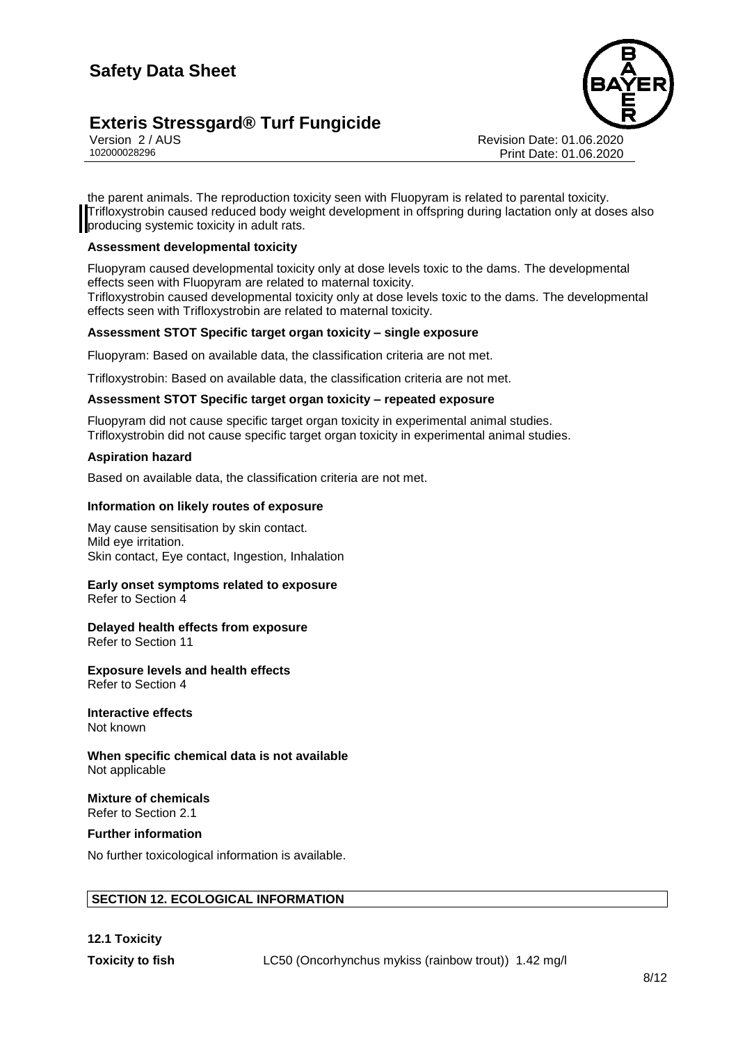

Version 2 / AUS Revision Date: 01.06.2020 102000028296 Print Date: 01.06.2020

the parent animals. The reproduction toxicity seen with Fluopyram is related to parental toxicity. Trifloxystrobin caused reduced body weight development in offspring during lactation only at doses also **I** producing systemic toxicity in adult rats.

#### **Assessment developmental toxicity**

Fluopyram caused developmental toxicity only at dose levels toxic to the dams. The developmental effects seen with Fluopyram are related to maternal toxicity.

Trifloxystrobin caused developmental toxicity only at dose levels toxic to the dams. The developmental effects seen with Trifloxystrobin are related to maternal toxicity.

#### **Assessment STOT Specific target organ toxicity – single exposure**

Fluopyram: Based on available data, the classification criteria are not met.

Trifloxystrobin: Based on available data, the classification criteria are not met.

#### **Assessment STOT Specific target organ toxicity – repeated exposure**

Fluopyram did not cause specific target organ toxicity in experimental animal studies. Trifloxystrobin did not cause specific target organ toxicity in experimental animal studies.

#### **Aspiration hazard**

Based on available data, the classification criteria are not met.

#### **Information on likely routes of exposure**

May cause sensitisation by skin contact. Mild eye irritation. Skin contact, Eye contact, Ingestion, Inhalation

#### **Early onset symptoms related to exposure** Refer to Section 4

#### **Delayed health effects from exposure**

Refer to Section 11

#### **Exposure levels and health effects**

Refer to Section 4

## **Interactive effects**

Not known

**When specific chemical data is not available** Not applicable

#### **Mixture of chemicals** Refer to Section 2.1

#### **Further information**

No further toxicological information is available.

#### **SECTION 12. ECOLOGICAL INFORMATION**

**12.1 Toxicity**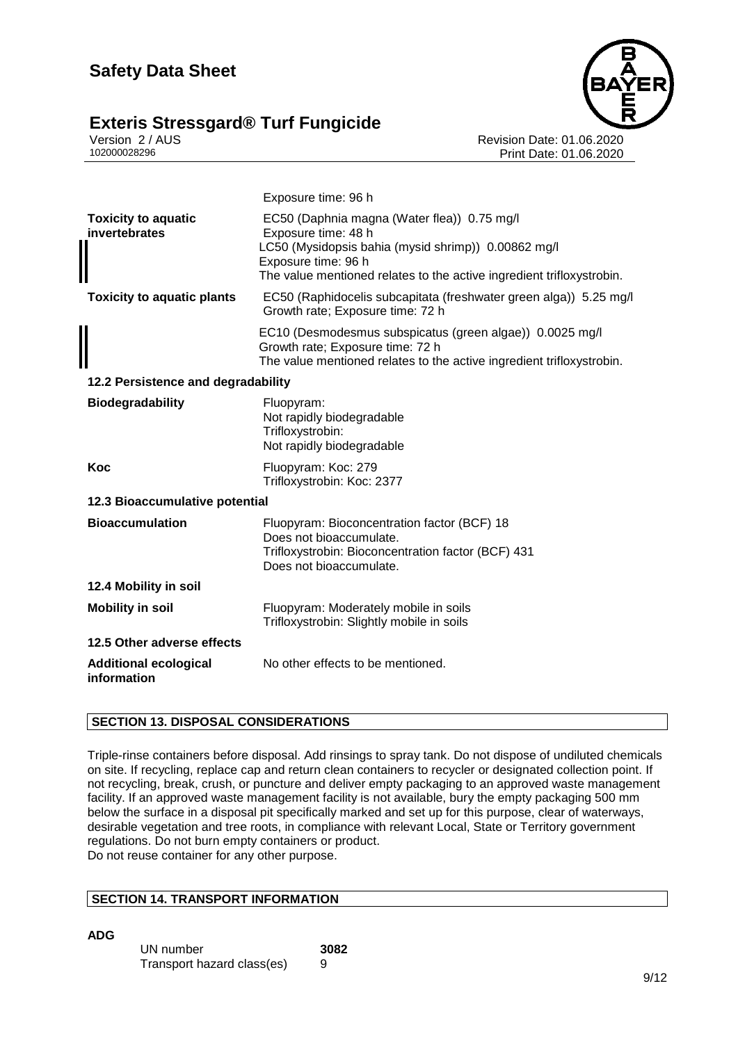

Version 2 / AUS Revision Date: 01.06.2020 Print Date: 01.06.2020

|                                             | Exposure time: 96 h                                                                                                                                                                                                       |  |
|---------------------------------------------|---------------------------------------------------------------------------------------------------------------------------------------------------------------------------------------------------------------------------|--|
| <b>Toxicity to aquatic</b><br>invertebrates | EC50 (Daphnia magna (Water flea)) 0.75 mg/l<br>Exposure time: 48 h<br>LC50 (Mysidopsis bahia (mysid shrimp)) 0.00862 mg/l<br>Exposure time: 96 h<br>The value mentioned relates to the active ingredient trifloxystrobin. |  |
| <b>Toxicity to aquatic plants</b>           | EC50 (Raphidocelis subcapitata (freshwater green alga)) 5.25 mg/l<br>Growth rate; Exposure time: 72 h                                                                                                                     |  |
|                                             | EC10 (Desmodesmus subspicatus (green algae)) 0.0025 mg/l<br>Growth rate; Exposure time: 72 h<br>The value mentioned relates to the active ingredient trifloxystrobin.                                                     |  |
| 12.2 Persistence and degradability          |                                                                                                                                                                                                                           |  |
| <b>Biodegradability</b>                     | Fluopyram:<br>Not rapidly biodegradable<br>Trifloxystrobin:<br>Not rapidly biodegradable                                                                                                                                  |  |
| Koc                                         | Fluopyram: Koc: 279<br>Trifloxystrobin: Koc: 2377                                                                                                                                                                         |  |
| 12.3 Bioaccumulative potential              |                                                                                                                                                                                                                           |  |
| <b>Bioaccumulation</b>                      | Fluopyram: Bioconcentration factor (BCF) 18<br>Does not bioaccumulate.<br>Trifloxystrobin: Bioconcentration factor (BCF) 431<br>Does not bioaccumulate.                                                                   |  |
| 12.4 Mobility in soil                       |                                                                                                                                                                                                                           |  |
| <b>Mobility in soil</b>                     | Fluopyram: Moderately mobile in soils<br>Trifloxystrobin: Slightly mobile in soils                                                                                                                                        |  |
| 12.5 Other adverse effects                  |                                                                                                                                                                                                                           |  |
| <b>Additional ecological</b><br>information | No other effects to be mentioned.                                                                                                                                                                                         |  |

#### **SECTION 13. DISPOSAL CONSIDERATIONS**

Triple-rinse containers before disposal. Add rinsings to spray tank. Do not dispose of undiluted chemicals on site. If recycling, replace cap and return clean containers to recycler or designated collection point. If not recycling, break, crush, or puncture and deliver empty packaging to an approved waste management facility. If an approved waste management facility is not available, bury the empty packaging 500 mm below the surface in a disposal pit specifically marked and set up for this purpose, clear of waterways, desirable vegetation and tree roots, in compliance with relevant Local, State or Territory government regulations. Do not burn empty containers or product. Do not reuse container for any other purpose.

#### **SECTION 14. TRANSPORT INFORMATION**

**ADG**

| UN number                  | 3082 |
|----------------------------|------|
| Transport hazard class(es) | 9    |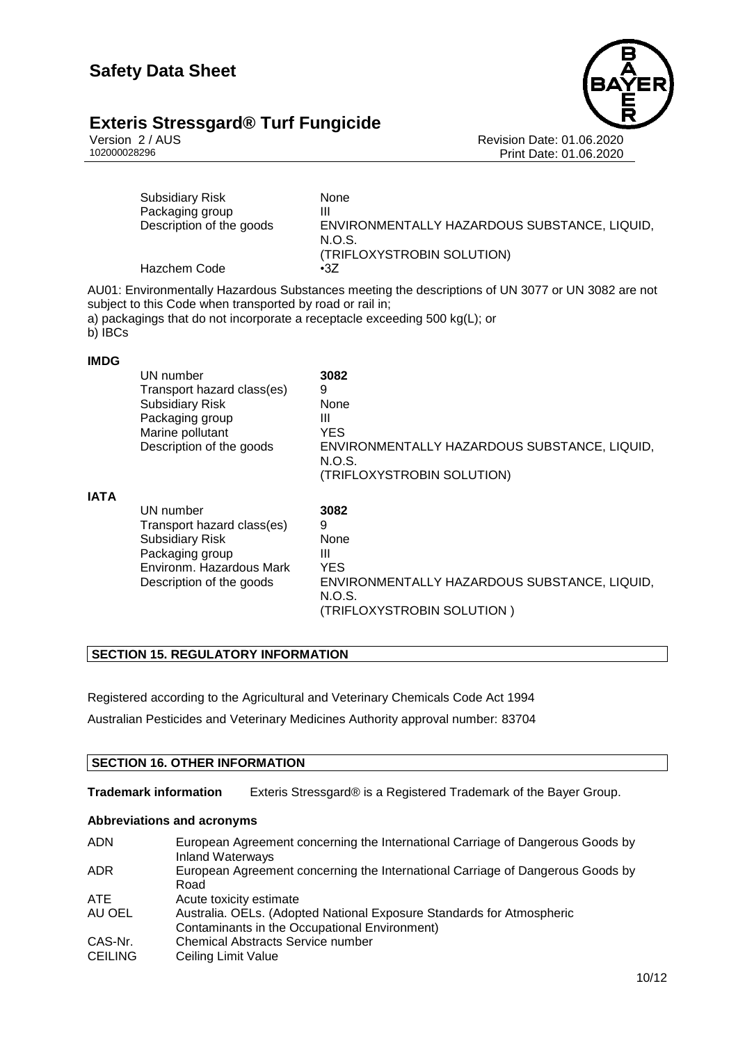# **Exteris Stressgard® Turf Fungicide** Version 2/AUS



Version 2 / AUS Revision Date: 01.06.2020 Print Date: 01.06.2020

|             | <b>Subsidiary Risk</b><br>Packaging group<br>Description of the goods<br>Hazchem Code                                                        | <b>None</b><br>Ш<br>ENVIRONMENTALLY HAZARDOUS SUBSTANCE, LIQUID,<br>N.O.S.<br>(TRIFLOXYSTROBIN SOLUTION)<br>$\cdot 37$                                                          |
|-------------|----------------------------------------------------------------------------------------------------------------------------------------------|---------------------------------------------------------------------------------------------------------------------------------------------------------------------------------|
| b) IBCs     | subject to this Code when transported by road or rail in;                                                                                    | AU01: Environmentally Hazardous Substances meeting the descriptions of UN 3077 or UN 3082 are not<br>a) packagings that do not incorporate a receptacle exceeding 500 kg(L); or |
| <b>IMDG</b> |                                                                                                                                              |                                                                                                                                                                                 |
|             | UN number<br>Transport hazard class(es)<br><b>Subsidiary Risk</b><br>Packaging group<br>Marine pollutant<br>Description of the goods         | 3082<br>9<br>None<br>Ш<br><b>YES</b><br>ENVIRONMENTALLY HAZARDOUS SUBSTANCE, LIQUID,<br>N.O.S.<br>(TRIFLOXYSTROBIN SOLUTION)                                                    |
| <b>IATA</b> | UN number<br>Transport hazard class(es)<br><b>Subsidiary Risk</b><br>Packaging group<br>Environm, Hazardous Mark<br>Description of the goods | 3082<br>9<br>None<br>Ш<br><b>YES</b><br>ENVIRONMENTALLY HAZARDOUS SUBSTANCE, LIQUID,<br>N.O.S.<br>(TRIFLOXYSTROBIN SOLUTION)                                                    |

#### **SECTION 15. REGULATORY INFORMATION**

Registered according to the Agricultural and Veterinary Chemicals Code Act 1994 Australian Pesticides and Veterinary Medicines Authority approval number: 83704

#### **SECTION 16. OTHER INFORMATION**

**Trademark information** Exteris Stressgard® is a Registered Trademark of the Bayer Group.

#### **Abbreviations and acronyms**

| <b>ADN</b>     | European Agreement concerning the International Carriage of Dangerous Goods by<br><b>Inland Waterways</b> |
|----------------|-----------------------------------------------------------------------------------------------------------|
| <b>ADR</b>     | European Agreement concerning the International Carriage of Dangerous Goods by<br>Road                    |
| <b>ATE</b>     | Acute toxicity estimate                                                                                   |
| AU OEL         | Australia. OELs. (Adopted National Exposure Standards for Atmospheric                                     |
|                | Contaminants in the Occupational Environment)                                                             |
| CAS-Nr.        | <b>Chemical Abstracts Service number</b>                                                                  |
| <b>CEILING</b> | Ceiling Limit Value                                                                                       |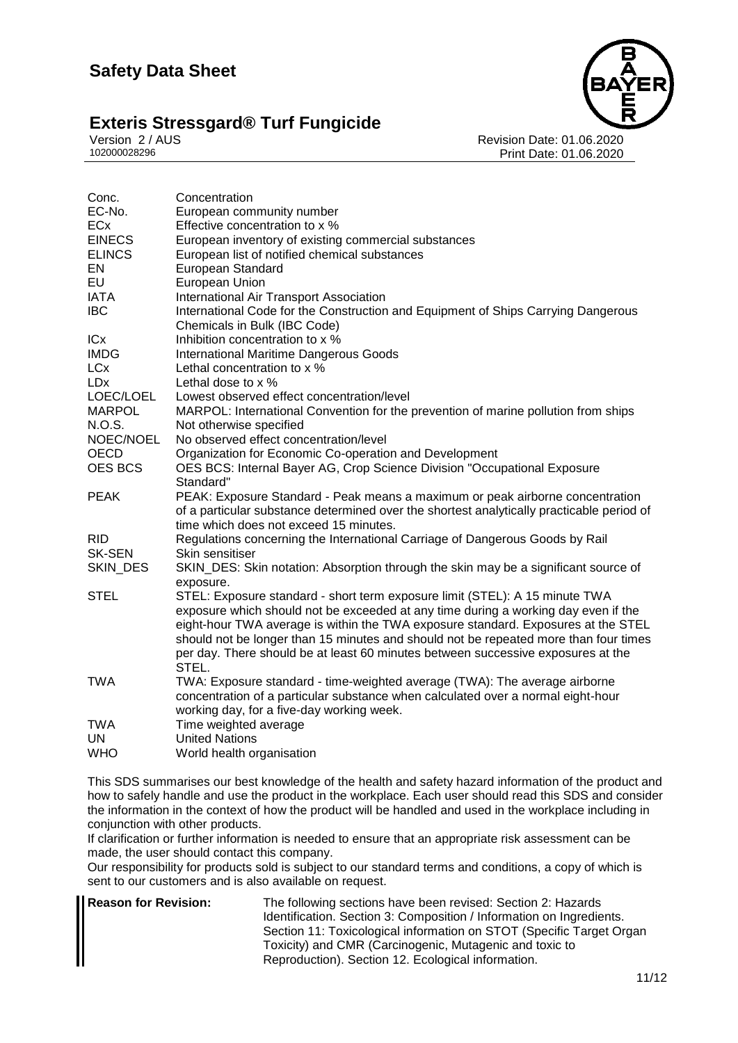

Version 2 / AUS Revision Date: 01.06.2020 Print Date: 01.06.2020

| Concentration                                                                                                                                                                                                                                                                                                                                                                                                                               |
|---------------------------------------------------------------------------------------------------------------------------------------------------------------------------------------------------------------------------------------------------------------------------------------------------------------------------------------------------------------------------------------------------------------------------------------------|
| European community number                                                                                                                                                                                                                                                                                                                                                                                                                   |
| Effective concentration to x %                                                                                                                                                                                                                                                                                                                                                                                                              |
| European inventory of existing commercial substances                                                                                                                                                                                                                                                                                                                                                                                        |
| European list of notified chemical substances                                                                                                                                                                                                                                                                                                                                                                                               |
| European Standard                                                                                                                                                                                                                                                                                                                                                                                                                           |
| European Union                                                                                                                                                                                                                                                                                                                                                                                                                              |
| International Air Transport Association                                                                                                                                                                                                                                                                                                                                                                                                     |
| International Code for the Construction and Equipment of Ships Carrying Dangerous<br>Chemicals in Bulk (IBC Code)                                                                                                                                                                                                                                                                                                                           |
| Inhibition concentration to x %                                                                                                                                                                                                                                                                                                                                                                                                             |
| <b>International Maritime Dangerous Goods</b>                                                                                                                                                                                                                                                                                                                                                                                               |
| Lethal concentration to x %                                                                                                                                                                                                                                                                                                                                                                                                                 |
| Lethal dose to x %                                                                                                                                                                                                                                                                                                                                                                                                                          |
| Lowest observed effect concentration/level                                                                                                                                                                                                                                                                                                                                                                                                  |
| MARPOL: International Convention for the prevention of marine pollution from ships                                                                                                                                                                                                                                                                                                                                                          |
| Not otherwise specified                                                                                                                                                                                                                                                                                                                                                                                                                     |
| No observed effect concentration/level                                                                                                                                                                                                                                                                                                                                                                                                      |
| Organization for Economic Co-operation and Development                                                                                                                                                                                                                                                                                                                                                                                      |
| OES BCS: Internal Bayer AG, Crop Science Division "Occupational Exposure<br>Standard"                                                                                                                                                                                                                                                                                                                                                       |
| PEAK: Exposure Standard - Peak means a maximum or peak airborne concentration                                                                                                                                                                                                                                                                                                                                                               |
| of a particular substance determined over the shortest analytically practicable period of                                                                                                                                                                                                                                                                                                                                                   |
| time which does not exceed 15 minutes.                                                                                                                                                                                                                                                                                                                                                                                                      |
| Regulations concerning the International Carriage of Dangerous Goods by Rail                                                                                                                                                                                                                                                                                                                                                                |
| Skin sensitiser                                                                                                                                                                                                                                                                                                                                                                                                                             |
| SKIN_DES: Skin notation: Absorption through the skin may be a significant source of<br>exposure.                                                                                                                                                                                                                                                                                                                                            |
| STEL: Exposure standard - short term exposure limit (STEL): A 15 minute TWA<br>exposure which should not be exceeded at any time during a working day even if the<br>eight-hour TWA average is within the TWA exposure standard. Exposures at the STEL<br>should not be longer than 15 minutes and should not be repeated more than four times<br>per day. There should be at least 60 minutes between successive exposures at the<br>STEL. |
| TWA: Exposure standard - time-weighted average (TWA): The average airborne<br>concentration of a particular substance when calculated over a normal eight-hour<br>working day, for a five-day working week.                                                                                                                                                                                                                                 |
| Time weighted average                                                                                                                                                                                                                                                                                                                                                                                                                       |
| <b>United Nations</b>                                                                                                                                                                                                                                                                                                                                                                                                                       |
| World health organisation                                                                                                                                                                                                                                                                                                                                                                                                                   |
|                                                                                                                                                                                                                                                                                                                                                                                                                                             |

This SDS summarises our best knowledge of the health and safety hazard information of the product and how to safely handle and use the product in the workplace. Each user should read this SDS and consider the information in the context of how the product will be handled and used in the workplace including in conjunction with other products.

If clarification or further information is needed to ensure that an appropriate risk assessment can be made, the user should contact this company.

Our responsibility for products sold is subject to our standard terms and conditions, a copy of which is sent to our customers and is also available on request.

**Reason for Revision:** The following sections have been revised: Section 2: Hazards Identification. Section 3: Composition / Information on Ingredients. Section 11: Toxicological information on STOT (Specific Target Organ Toxicity) and CMR (Carcinogenic, Mutagenic and toxic to Reproduction). Section 12. Ecological information.